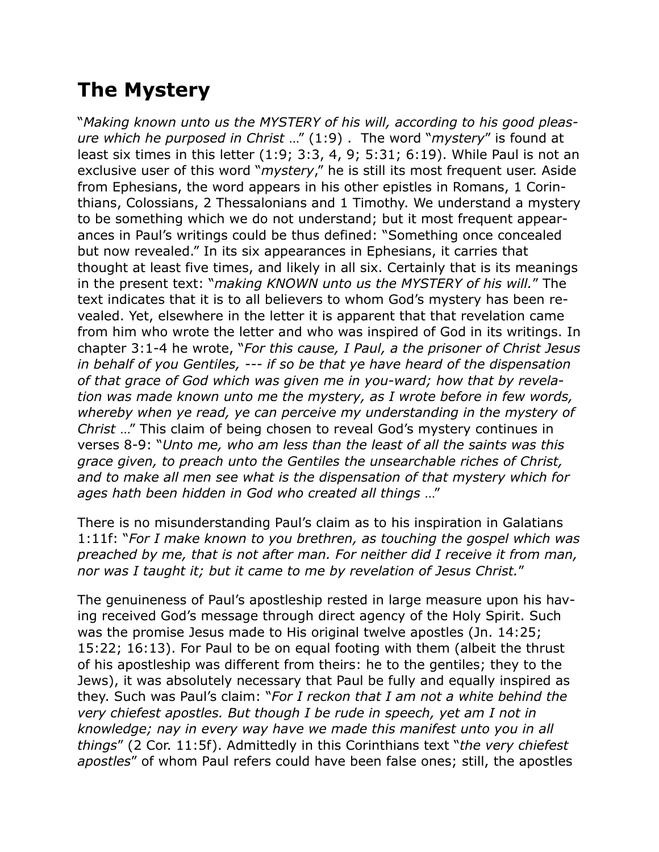## **The Mystery**

"*Making known unto us the MYSTERY of his will, according to his good pleasure which he purposed in Christ* …" (1:9) . The word "*mystery*" is found at least six times in this letter (1:9; 3:3, 4, 9; 5:31; 6:19). While Paul is not an exclusive user of this word "*mystery*," he is still its most frequent user. Aside from Ephesians, the word appears in his other epistles in Romans, 1 Corinthians, Colossians, 2 Thessalonians and 1 Timothy. We understand a mystery to be something which we do not understand; but it most frequent appearances in Paul's writings could be thus defined: "Something once concealed but now revealed." In its six appearances in Ephesians, it carries that thought at least five times, and likely in all six. Certainly that is its meanings in the present text: "*making KNOWN unto us the MYSTERY of his will.*" The text indicates that it is to all believers to whom God's mystery has been revealed. Yet, elsewhere in the letter it is apparent that that revelation came from him who wrote the letter and who was inspired of God in its writings. In chapter 3:1-4 he wrote, "*For this cause, I Paul, a the prisoner of Christ Jesus in behalf of you Gentiles, --- if so be that ye have heard of the dispensation of that grace of God which was given me in you-ward; how that by revelation was made known unto me the mystery, as I wrote before in few words, whereby when ye read, ye can perceive my understanding in the mystery of Christ* …" This claim of being chosen to reveal God's mystery continues in verses 8-9: "*Unto me, who am less than the least of all the saints was this grace given, to preach unto the Gentiles the unsearchable riches of Christ, and to make all men see what is the dispensation of that mystery which for ages hath been hidden in God who created all things* …"

There is no misunderstanding Paul's claim as to his inspiration in Galatians 1:11f: "*For I make known to you brethren, as touching the gospel which was preached by me, that is not after man. For neither did I receive it from man, nor was I taught it; but it came to me by revelation of Jesus Christ.*"

The genuineness of Paul's apostleship rested in large measure upon his having received God's message through direct agency of the Holy Spirit. Such was the promise Jesus made to His original twelve apostles (Jn. 14:25; 15:22; 16:13). For Paul to be on equal footing with them (albeit the thrust of his apostleship was different from theirs: he to the gentiles; they to the Jews), it was absolutely necessary that Paul be fully and equally inspired as they. Such was Paul's claim: "*For I reckon that I am not a white behind the very chiefest apostles. But though I be rude in speech, yet am I not in knowledge; nay in every way have we made this manifest unto you in all things*" (2 Cor. 11:5f). Admittedly in this Corinthians text "*the very chiefest apostles*" of whom Paul refers could have been false ones; still, the apostles